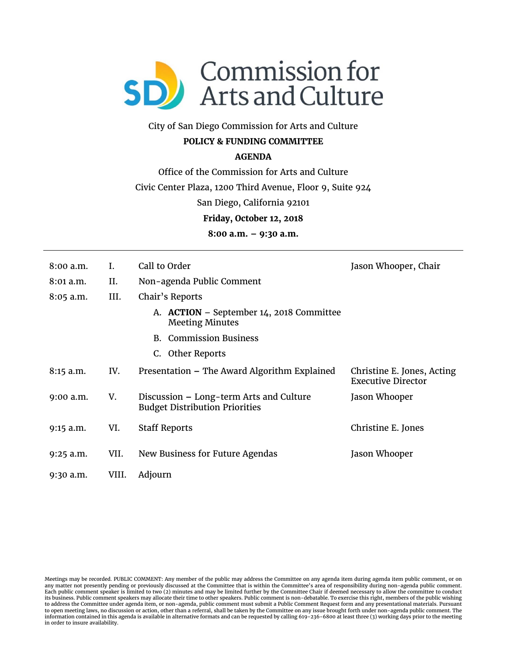

# City of San Diego Commission for Arts and Culture

## **POLICY & FUNDING COMMITTEE**

### **AGENDA**

Office of the Commission for Arts and Culture

Civic Center Plaza, 1200 Third Avenue, Floor 9, Suite 924

San Diego, California 92101

**Friday, October 12, 2018** 

**8:00 a.m. – 9:30 a.m.** 

| $8:00$ a.m. | I.    | Call to Order                                                                    | Jason Whooper, Chair                                    |
|-------------|-------|----------------------------------------------------------------------------------|---------------------------------------------------------|
| 8:01 a.m.   | II.   | Non-agenda Public Comment                                                        |                                                         |
| $8:05$ a.m. | III.  | Chair's Reports                                                                  |                                                         |
|             |       | A. ACTION – September 14, 2018 Committee<br><b>Meeting Minutes</b>               |                                                         |
|             |       | <b>B.</b> Commission Business                                                    |                                                         |
|             |       | C. Other Reports                                                                 |                                                         |
| 8:15 a.m.   | IV.   | Presentation - The Award Algorithm Explained                                     | Christine E. Jones, Acting<br><b>Executive Director</b> |
| $9:00$ a.m. | V.    | Discussion – Long-term Arts and Culture<br><b>Budget Distribution Priorities</b> | Jason Whooper                                           |
| $9:15$ a.m. | VI.   | <b>Staff Reports</b>                                                             | Christine E. Jones                                      |
| $9:25$ a.m. | VII.  | New Business for Future Agendas                                                  | Jason Whooper                                           |
| 9:30 a.m.   | VIII. | Adjourn                                                                          |                                                         |

Meetings may be recorded. PUBLIC COMMENT: Any member of the public may address the Committee on any agenda item during agenda item public comment, or on any matter not presently pending or previously discussed at the Committee that is within the Committee's area of responsibility during non-agenda public comment. Each public comment speaker is limited to two (2) minutes and may be limited further by the Committee Chair if deemed necessary to allow the committee to conduct its business. Public comment speakers may allocate their time to other speakers. Public comment is non-debatable. To exercise this right, members of the public wishing<br>to address the Committee under agenda item, or non-age information contained in this agenda is available in alternative formats and can be requested by calling 619-236-6800 at least three (3) working days prior to the meeting in order to insure availability.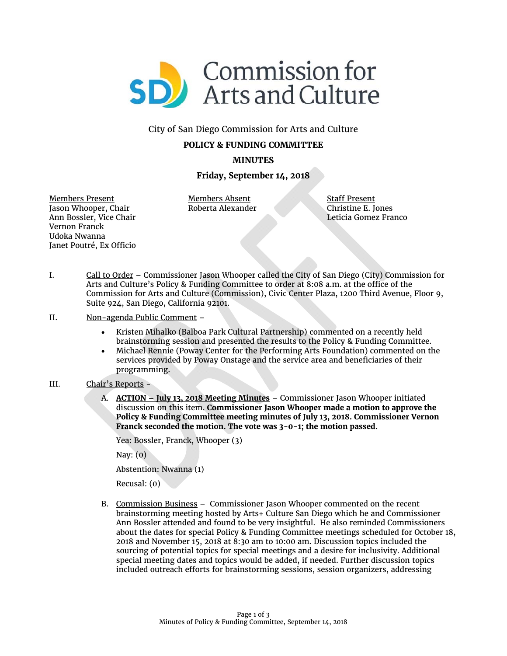

#### City of San Diego Commission for Arts and Culture

#### **POLICY & FUNDING COMMITTEE**

**MINUTES** 

### **Friday, September 14, 2018**

Members Present Jason Whooper, Chair Ann Bossler, Vice Chair Vernon Franck Udoka Nwanna Janet Poutré, Ex Officio

Members Absent Roberta Alexander Staff Present Christine E. Jones Leticia Gomez Franco

- I. Call to Order Commissioner Jason Whooper called the City of San Diego (City) Commission for Arts and Culture's Policy & Funding Committee to order at 8:08 a.m. at the office of the Commission for Arts and Culture (Commission), Civic Center Plaza, 1200 Third Avenue, Floor 9, Suite 924, San Diego, California 92101.
- II. Non-agenda Public Comment
	- Kristen Mihalko (Balboa Park Cultural Partnership) commented on a recently held brainstorming session and presented the results to the Policy & Funding Committee.
	- Michael Rennie (Poway Center for the Performing Arts Foundation) commented on the services provided by Poway Onstage and the service area and beneficiaries of their programming.
- III. Chair's Reports
	- A. **ACTION – July 13, 2018 Meeting Minutes** Commissioner Jason Whooper initiated discussion on this item. **Commissioner Jason Whooper made a motion to approve the Policy & Funding Committee meeting minutes of July 13, 2018. Commissioner Vernon Franck seconded the motion. The vote was 3-0-1; the motion passed.**

Yea: Bossler, Franck, Whooper (3)

Nay: (0)

Abstention: Nwanna (1)

Recusal: (0)

B. Commission Business – Commissioner Jason Whooper commented on the recent brainstorming meeting hosted by Arts+ Culture San Diego which he and Commissioner Ann Bossler attended and found to be very insightful. He also reminded Commissioners about the dates for special Policy & Funding Committee meetings scheduled for October 18, 2018 and November 15, 2018 at 8:30 am to 10:00 am. Discussion topics included the sourcing of potential topics for special meetings and a desire for inclusivity. Additional special meeting dates and topics would be added, if needed. Further discussion topics included outreach efforts for brainstorming sessions, session organizers, addressing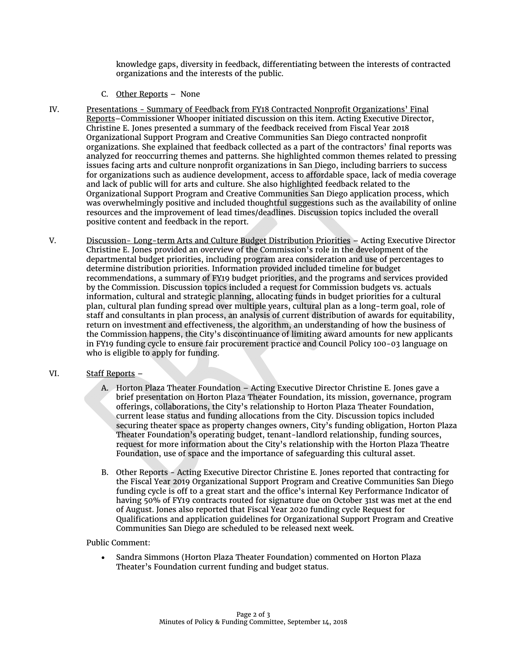knowledge gaps, diversity in feedback, differentiating between the interests of contracted organizations and the interests of the public.

- C. Other Reports None
- IV. Presentations Summary of Feedback from FY18 Contracted Nonprofit Organizations' Final Reports–Commissioner Whooper initiated discussion on this item. Acting Executive Director, Christine E. Jones presented a summary of the feedback received from Fiscal Year 2018 Organizational Support Program and Creative Communities San Diego contracted nonprofit organizations. She explained that feedback collected as a part of the contractors' final reports was analyzed for reoccurring themes and patterns. She highlighted common themes related to pressing issues facing arts and culture nonprofit organizations in San Diego, including barriers to success for organizations such as audience development, access to affordable space, lack of media coverage and lack of public will for arts and culture. She also highlighted feedback related to the Organizational Support Program and Creative Communities San Diego application process, which was overwhelmingly positive and included thoughtful suggestions such as the availability of online resources and the improvement of lead times/deadlines. Discussion topics included the overall positive content and feedback in the report.
- V. Discussion- Long-term Arts and Culture Budget Distribution Priorities Acting Executive Director Christine E. Jones provided an overview of the Commission's role in the development of the departmental budget priorities, including program area consideration and use of percentages to determine distribution priorities. Information provided included timeline for budget recommendations, a summary of FY19 budget priorities, and the programs and services provided by the Commission. Discussion topics included a request for Commission budgets vs. actuals information, cultural and strategic planning, allocating funds in budget priorities for a cultural plan, cultural plan funding spread over multiple years, cultural plan as a long-term goal, role of staff and consultants in plan process, an analysis of current distribution of awards for equitability, return on investment and effectiveness, the algorithm, an understanding of how the business of the Commission happens, the City's discontinuance of limiting award amounts for new applicants in FY19 funding cycle to ensure fair procurement practice and Council Policy 100-03 language on who is eligible to apply for funding.

#### VI. Staff Reports –

- A. Horton Plaza Theater Foundation Acting Executive Director Christine E. Jones gave a brief presentation on Horton Plaza Theater Foundation, its mission, governance, program offerings, collaborations, the City's relationship to Horton Plaza Theater Foundation, current lease status and funding allocations from the City. Discussion topics included securing theater space as property changes owners, City's funding obligation, Horton Plaza Theater Foundation's operating budget, tenant-landlord relationship, funding sources, request for more information about the City's relationship with the Horton Plaza Theatre Foundation, use of space and the importance of safeguarding this cultural asset.
- B. Other Reports Acting Executive Director Christine E. Jones reported that contracting for the Fiscal Year 2019 Organizational Support Program and Creative Communities San Diego funding cycle is off to a great start and the office's internal Key Performance Indicator of having 50% of FY19 contracts routed for signature due on October 31st was met at the end of August. Jones also reported that Fiscal Year 2020 funding cycle Request for Qualifications and application guidelines for Organizational Support Program and Creative Communities San Diego are scheduled to be released next week.

#### Public Comment:

 Sandra Simmons (Horton Plaza Theater Foundation) commented on Horton Plaza Theater's Foundation current funding and budget status.